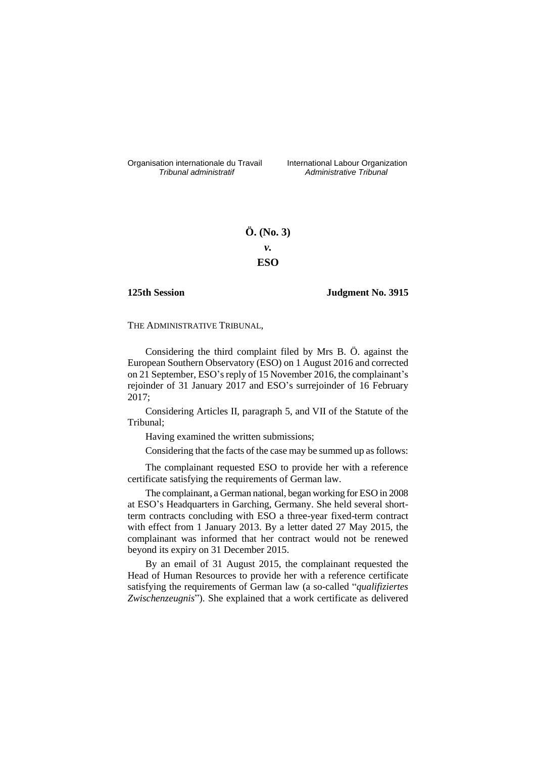Organisation internationale du Travail liternational Labour Organization<br> *Tribunal administratif Administrative Tribunal* 

*Tribunal administratif Administrative Tribunal*

# **Ö. (No. 3)** *v.* **ESO**

## **125th Session Judgment No. 3915**

THE ADMINISTRATIVE TRIBUNAL,

Considering the third complaint filed by Mrs B. Ö. against the European Southern Observatory (ESO) on 1 August 2016 and corrected on 21 September, ESO's reply of 15 November 2016, the complainant's rejoinder of 31 January 2017 and ESO's surrejoinder of 16 February 2017;

Considering Articles II, paragraph 5, and VII of the Statute of the Tribunal;

Having examined the written submissions;

Considering that the facts of the case may be summed up as follows:

The complainant requested ESO to provide her with a reference certificate satisfying the requirements of German law.

The complainant, a German national, began working for ESO in 2008 at ESO's Headquarters in Garching, Germany. She held several shortterm contracts concluding with ESO a three-year fixed-term contract with effect from 1 January 2013. By a letter dated 27 May 2015, the complainant was informed that her contract would not be renewed beyond its expiry on 31 December 2015.

By an email of 31 August 2015, the complainant requested the Head of Human Resources to provide her with a reference certificate satisfying the requirements of German law (a so-called "*qualifiziertes Zwischenzeugnis*"). She explained that a work certificate as delivered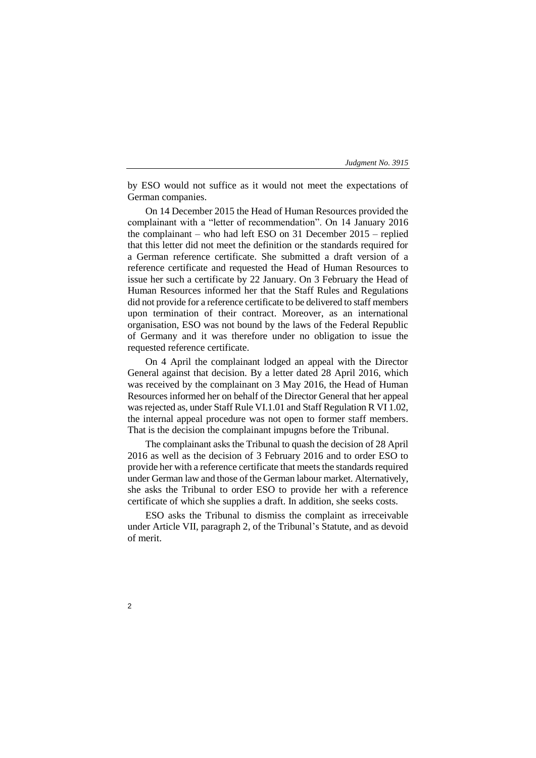by ESO would not suffice as it would not meet the expectations of German companies.

On 14 December 2015 the Head of Human Resources provided the complainant with a "letter of recommendation". On 14 January 2016 the complainant – who had left ESO on 31 December 2015 – replied that this letter did not meet the definition or the standards required for a German reference certificate. She submitted a draft version of a reference certificate and requested the Head of Human Resources to issue her such a certificate by 22 January. On 3 February the Head of Human Resources informed her that the Staff Rules and Regulations did not provide for a reference certificate to be delivered to staff members upon termination of their contract. Moreover, as an international organisation, ESO was not bound by the laws of the Federal Republic of Germany and it was therefore under no obligation to issue the requested reference certificate.

On 4 April the complainant lodged an appeal with the Director General against that decision. By a letter dated 28 April 2016, which was received by the complainant on 3 May 2016, the Head of Human Resources informed her on behalf of the Director General that her appeal was rejected as, under Staff Rule VI.1.01 and Staff Regulation R VI 1.02, the internal appeal procedure was not open to former staff members. That is the decision the complainant impugns before the Tribunal.

The complainant asks the Tribunal to quash the decision of 28 April 2016 as well as the decision of 3 February 2016 and to order ESO to provide her with a reference certificate that meets the standards required under German law and those of the German labour market. Alternatively, she asks the Tribunal to order ESO to provide her with a reference certificate of which she supplies a draft. In addition, she seeks costs.

ESO asks the Tribunal to dismiss the complaint as irreceivable under Article VII, paragraph 2, of the Tribunal's Statute, and as devoid of merit.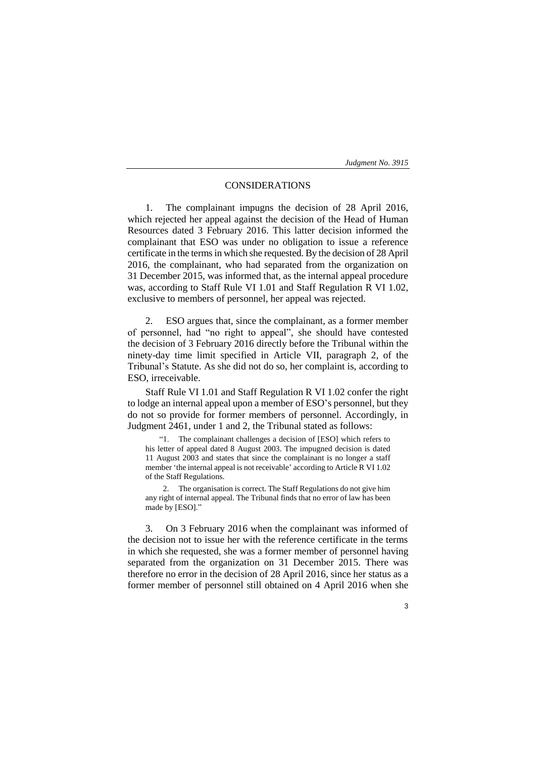## CONSIDERATIONS

1. The complainant impugns the decision of 28 April 2016, which rejected her appeal against the decision of the Head of Human Resources dated 3 February 2016. This latter decision informed the complainant that ESO was under no obligation to issue a reference certificate in the terms in which she requested. By the decision of 28 April 2016, the complainant, who had separated from the organization on 31 December 2015, was informed that, as the internal appeal procedure was, according to Staff Rule VI 1.01 and Staff Regulation R VI 1.02, exclusive to members of personnel, her appeal was rejected.

2. ESO argues that, since the complainant, as a former member of personnel, had "no right to appeal", she should have contested the decision of 3 February 2016 directly before the Tribunal within the ninety-day time limit specified in Article VII, paragraph 2, of the Tribunal's Statute. As she did not do so, her complaint is, according to ESO, irreceivable.

Staff Rule VI 1.01 and Staff Regulation R VI 1.02 confer the right to lodge an internal appeal upon a member of ESO's personnel, but they do not so provide for former members of personnel. Accordingly, in Judgment 2461, under 1 and 2, the Tribunal stated as follows:

"1. The complainant challenges a decision of [ESO] which refers to his letter of appeal dated 8 August 2003. The impugned decision is dated 11 August 2003 and states that since the complainant is no longer a staff member 'the internal appeal is not receivable' according to Article R VI 1.02 of the Staff Regulations.

2. The organisation is correct. The Staff Regulations do not give him any right of internal appeal. The Tribunal finds that no error of law has been made by [ESO]."

3. On 3 February 2016 when the complainant was informed of the decision not to issue her with the reference certificate in the terms in which she requested, she was a former member of personnel having separated from the organization on 31 December 2015. There was therefore no error in the decision of 28 April 2016, since her status as a former member of personnel still obtained on 4 April 2016 when she

3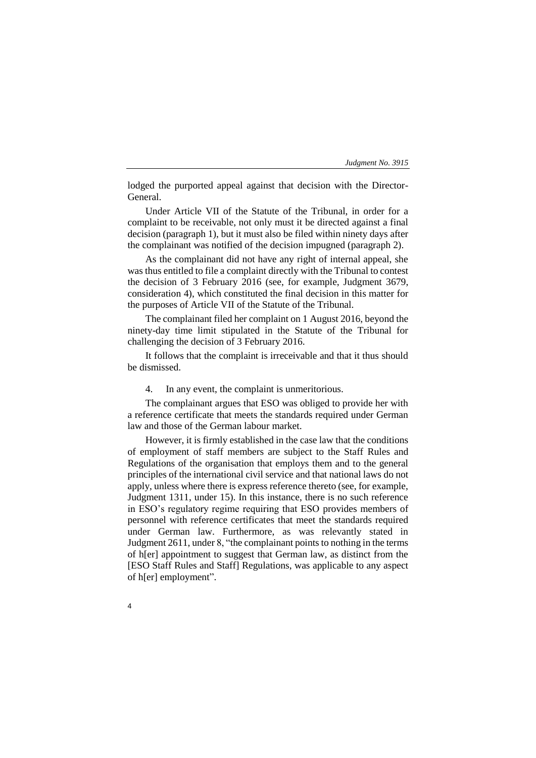lodged the purported appeal against that decision with the Director-General.

Under Article VII of the Statute of the Tribunal, in order for a complaint to be receivable, not only must it be directed against a final decision (paragraph 1), but it must also be filed within ninety days after the complainant was notified of the decision impugned (paragraph 2).

As the complainant did not have any right of internal appeal, she was thus entitled to file a complaint directly with the Tribunal to contest the decision of 3 February 2016 (see, for example, Judgment 3679, consideration 4), which constituted the final decision in this matter for the purposes of Article VII of the Statute of the Tribunal.

The complainant filed her complaint on 1 August 2016, beyond the ninety-day time limit stipulated in the Statute of the Tribunal for challenging the decision of 3 February 2016.

It follows that the complaint is irreceivable and that it thus should be dismissed.

4. In any event, the complaint is unmeritorious.

The complainant argues that ESO was obliged to provide her with a reference certificate that meets the standards required under German law and those of the German labour market.

However, it is firmly established in the case law that the conditions of employment of staff members are subject to the Staff Rules and Regulations of the organisation that employs them and to the general principles of the international civil service and that national laws do not apply, unless where there is express reference thereto (see, for example, Judgment 1311, under 15). In this instance, there is no such reference in ESO's regulatory regime requiring that ESO provides members of personnel with reference certificates that meet the standards required under German law. Furthermore, as was relevantly stated in Judgment 2611, under 8, "the complainant points to nothing in the terms of h[er] appointment to suggest that German law, as distinct from the [ESO Staff Rules and Staff] Regulations, was applicable to any aspect of h[er] employment".

4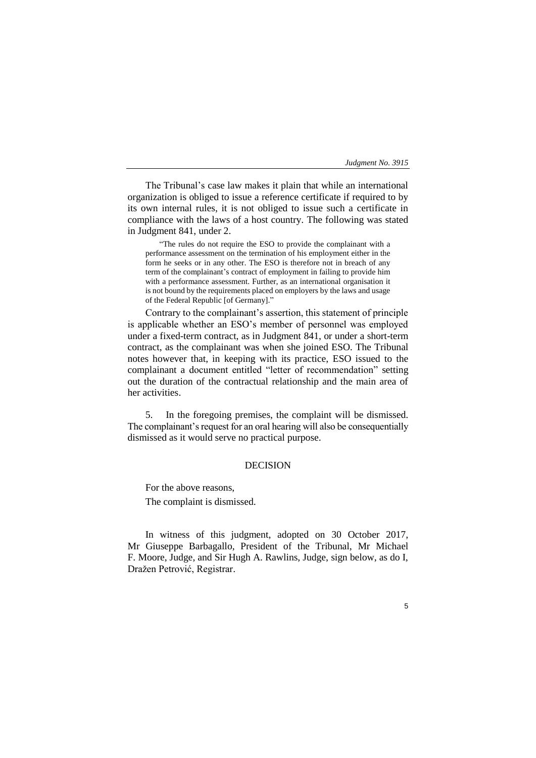5

The Tribunal's case law makes it plain that while an international organization is obliged to issue a reference certificate if required to by its own internal rules, it is not obliged to issue such a certificate in compliance with the laws of a host country. The following was stated in Judgment 841, under 2.

"The rules do not require the ESO to provide the complainant with a performance assessment on the termination of his employment either in the form he seeks or in any other. The ESO is therefore not in breach of any term of the complainant's contract of employment in failing to provide him with a performance assessment. Further, as an international organisation it is not bound by the requirements placed on employers by the laws and usage of the Federal Republic [of Germany]."

Contrary to the complainant's assertion, this statement of principle is applicable whether an ESO's member of personnel was employed under a fixed-term contract, as in Judgment 841, or under a short-term contract, as the complainant was when she joined ESO. The Tribunal notes however that, in keeping with its practice, ESO issued to the complainant a document entitled "letter of recommendation" setting out the duration of the contractual relationship and the main area of her activities.

5. In the foregoing premises, the complaint will be dismissed. The complainant's request for an oral hearing will also be consequentially dismissed as it would serve no practical purpose.

## DECISION

For the above reasons,

The complaint is dismissed.

In witness of this judgment, adopted on 30 October 2017, Mr Giuseppe Barbagallo, President of the Tribunal, Mr Michael F. Moore, Judge, and Sir Hugh A. Rawlins, Judge, sign below, as do I, Dražen Petrović, Registrar.